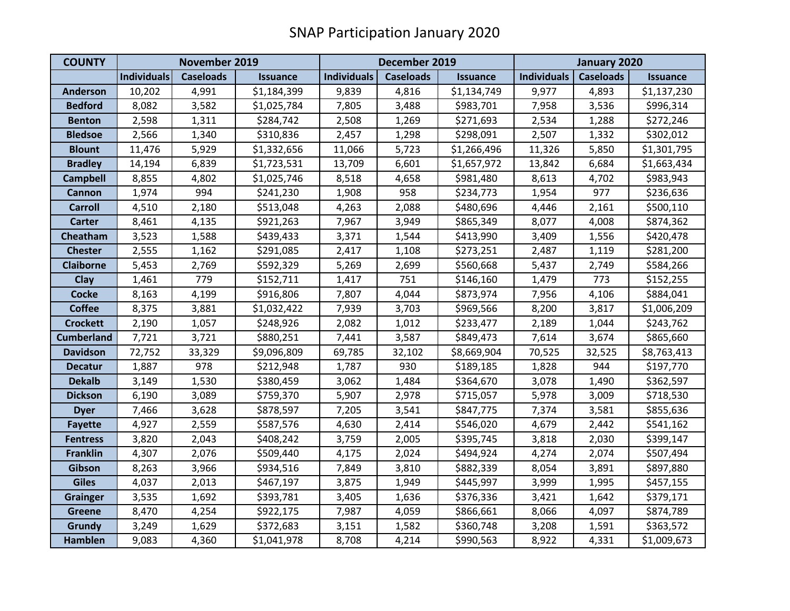| <b>COUNTY</b>     | November 2019      |                  |                 | December 2019      |                  |                 | January 2020       |                  |                 |
|-------------------|--------------------|------------------|-----------------|--------------------|------------------|-----------------|--------------------|------------------|-----------------|
|                   | <b>Individuals</b> | <b>Caseloads</b> | <b>Issuance</b> | <b>Individuals</b> | <b>Caseloads</b> | <b>Issuance</b> | <b>Individuals</b> | <b>Caseloads</b> | <b>Issuance</b> |
| <b>Anderson</b>   | 10,202             | 4,991            | \$1,184,399     | 9,839              | 4,816            | \$1,134,749     | 9,977              | 4,893            | \$1,137,230     |
| <b>Bedford</b>    | 8,082              | 3,582            | \$1,025,784     | 7,805              | 3,488            | \$983,701       | 7,958              | 3,536            | \$996,314       |
| <b>Benton</b>     | 2,598              | 1,311            | \$284,742       | 2,508              | 1,269            | \$271,693       | 2,534              | 1,288            | \$272,246       |
| <b>Bledsoe</b>    | 2,566              | 1,340            | \$310,836       | 2,457              | 1,298            | \$298,091       | 2,507              | 1,332            | \$302,012       |
| <b>Blount</b>     | 11,476             | 5,929            | \$1,332,656     | 11,066             | 5,723            | \$1,266,496     | 11,326             | 5,850            | \$1,301,795     |
| <b>Bradley</b>    | 14,194             | 6,839            | \$1,723,531     | 13,709             | 6,601            | \$1,657,972     | 13,842             | 6,684            | \$1,663,434     |
| <b>Campbell</b>   | 8,855              | 4,802            | \$1,025,746     | 8,518              | 4,658            | \$981,480       | 8,613              | 4,702            | \$983,943       |
| <b>Cannon</b>     | 1,974              | 994              | \$241,230       | 1,908              | 958              | \$234,773       | 1,954              | 977              | \$236,636       |
| <b>Carroll</b>    | 4,510              | 2,180            | \$513,048       | 4,263              | 2,088            | \$480,696       | 4,446              | 2,161            | \$500,110       |
| <b>Carter</b>     | 8,461              | 4,135            | \$921,263       | 7,967              | 3,949            | \$865,349       | 8,077              | 4,008            | \$874,362       |
| Cheatham          | 3,523              | 1,588            | \$439,433       | 3,371              | 1,544            | \$413,990       | 3,409              | 1,556            | \$420,478       |
| <b>Chester</b>    | 2,555              | 1,162            | \$291,085       | 2,417              | 1,108            | \$273,251       | 2,487              | 1,119            | \$281,200       |
| <b>Claiborne</b>  | 5,453              | 2,769            | \$592,329       | 5,269              | 2,699            | \$560,668       | 5,437              | 2,749            | \$584,266       |
| Clay              | 1,461              | 779              | \$152,711       | 1,417              | 751              | \$146,160       | 1,479              | 773              | \$152,255       |
| <b>Cocke</b>      | 8,163              | 4,199            | \$916,806       | 7,807              | 4,044            | \$873,974       | 7,956              | 4,106            | \$884,041       |
| <b>Coffee</b>     | 8,375              | 3,881            | \$1,032,422     | 7,939              | 3,703            | \$969,566       | 8,200              | 3,817            | \$1,006,209     |
| <b>Crockett</b>   | 2,190              | 1,057            | \$248,926       | 2,082              | 1,012            | \$233,477       | 2,189              | 1,044            | \$243,762       |
| <b>Cumberland</b> | 7,721              | 3,721            | \$880,251       | 7,441              | 3,587            | \$849,473       | 7,614              | 3,674            | \$865,660       |
| <b>Davidson</b>   | 72,752             | 33,329           | \$9,096,809     | 69,785             | 32,102           | \$8,669,904     | 70,525             | 32,525           | \$8,763,413     |
| <b>Decatur</b>    | 1,887              | 978              | \$212,948       | 1,787              | 930              | \$189,185       | 1,828              | 944              | \$197,770       |
| <b>Dekalb</b>     | 3,149              | 1,530            | \$380,459       | 3,062              | 1,484            | \$364,670       | 3,078              | 1,490            | \$362,597       |
| <b>Dickson</b>    | 6,190              | 3,089            | \$759,370       | 5,907              | 2,978            | \$715,057       | 5,978              | 3,009            | \$718,530       |
| <b>Dyer</b>       | 7,466              | 3,628            | \$878,597       | 7,205              | 3,541            | \$847,775       | 7,374              | 3,581            | \$855,636       |
| <b>Fayette</b>    | 4,927              | 2,559            | \$587,576       | 4,630              | 2,414            | \$546,020       | 4,679              | 2,442            | \$541,162       |
| <b>Fentress</b>   | 3,820              | 2,043            | \$408,242       | 3,759              | 2,005            | \$395,745       | 3,818              | 2,030            | \$399,147       |
| <b>Franklin</b>   | 4,307              | 2,076            | \$509,440       | 4,175              | 2,024            | \$494,924       | 4,274              | 2,074            | \$507,494       |
| Gibson            | 8,263              | 3,966            | \$934,516       | 7,849              | 3,810            | \$882,339       | 8,054              | 3,891            | \$897,880       |
| <b>Giles</b>      | 4,037              | 2,013            | \$467,197       | 3,875              | 1,949            | \$445,997       | 3,999              | 1,995            | \$457,155       |
| <b>Grainger</b>   | 3,535              | 1,692            | \$393,781       | 3,405              | 1,636            | \$376,336       | 3,421              | 1,642            | \$379,171       |
| <b>Greene</b>     | 8,470              | 4,254            | \$922,175       | 7,987              | 4,059            | \$866,661       | 8,066              | 4,097            | \$874,789       |
| Grundy            | 3,249              | 1,629            | \$372,683       | 3,151              | 1,582            | \$360,748       | 3,208              | 1,591            | \$363,572       |
| <b>Hamblen</b>    | 9,083              | 4,360            | \$1,041,978     | 8,708              | 4,214            | \$990,563       | 8,922              | 4,331            | \$1,009,673     |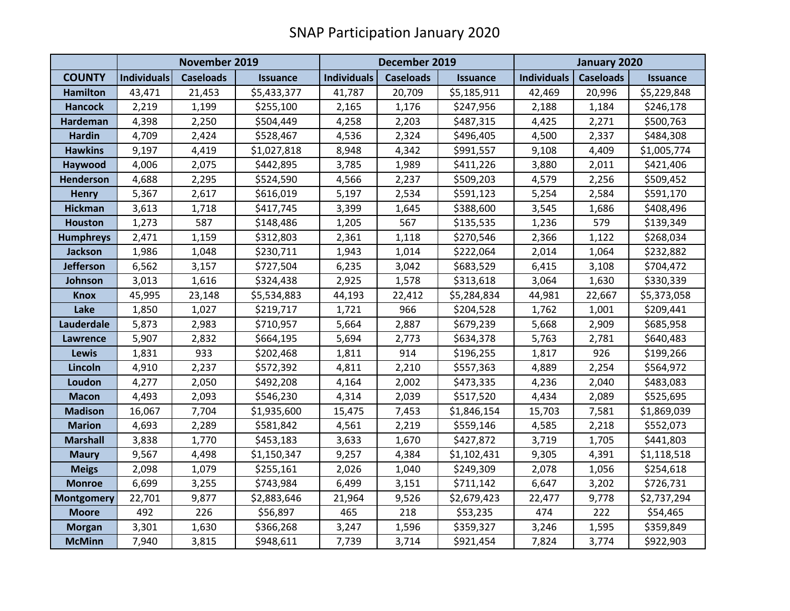|                   | November 2019      |                  |                 | December 2019      |                  |                 | January 2020       |                  |                 |
|-------------------|--------------------|------------------|-----------------|--------------------|------------------|-----------------|--------------------|------------------|-----------------|
| <b>COUNTY</b>     | <b>Individuals</b> | <b>Caseloads</b> | <b>Issuance</b> | <b>Individuals</b> | <b>Caseloads</b> | <b>Issuance</b> | <b>Individuals</b> | <b>Caseloads</b> | <b>Issuance</b> |
| <b>Hamilton</b>   | 43,471             | 21,453           | \$5,433,377     | 41,787             | 20,709           | \$5,185,911     | 42,469             | 20,996           | \$5,229,848     |
| <b>Hancock</b>    | 2,219              | 1,199            | \$255,100       | 2,165              | 1,176            | \$247,956       | 2,188              | 1,184            | \$246,178       |
| <b>Hardeman</b>   | 4,398              | 2,250            | \$504,449       | 4,258              | 2,203            | \$487,315       | 4,425              | 2,271            | \$500,763       |
| <b>Hardin</b>     | 4,709              | 2,424            | \$528,467       | 4,536              | 2,324            | \$496,405       | 4,500              | 2,337            | \$484,308       |
| <b>Hawkins</b>    | 9,197              | 4,419            | \$1,027,818     | 8,948              | 4,342            | \$991,557       | 9,108              | 4,409            | \$1,005,774     |
| <b>Haywood</b>    | 4,006              | 2,075            | \$442,895       | 3,785              | 1,989            | \$411,226       | 3,880              | 2,011            | \$421,406       |
| Henderson         | 4,688              | 2,295            | \$524,590       | 4,566              | 2,237            | \$509,203       | 4,579              | 2,256            | \$509,452       |
| <b>Henry</b>      | 5,367              | 2,617            | \$616,019       | 5,197              | 2,534            | \$591,123       | 5,254              | 2,584            | \$591,170       |
| <b>Hickman</b>    | 3,613              | 1,718            | \$417,745       | 3,399              | 1,645            | \$388,600       | 3,545              | 1,686            | \$408,496       |
| <b>Houston</b>    | 1,273              | 587              | \$148,486       | 1,205              | 567              | \$135,535       | 1,236              | 579              | \$139,349       |
| <b>Humphreys</b>  | 2,471              | 1,159            | \$312,803       | 2,361              | 1,118            | \$270,546       | 2,366              | 1,122            | \$268,034       |
| Jackson           | 1,986              | 1,048            | \$230,711       | 1,943              | 1,014            | \$222,064       | 2,014              | 1,064            | \$232,882       |
| <b>Jefferson</b>  | 6,562              | 3,157            | \$727,504       | 6,235              | 3,042            | \$683,529       | 6,415              | 3,108            | \$704,472       |
| Johnson           | 3,013              | 1,616            | \$324,438       | 2,925              | 1,578            | \$313,618       | 3,064              | 1,630            | \$330,339       |
| <b>Knox</b>       | 45,995             | 23,148           | \$5,534,883     | 44,193             | 22,412           | \$5,284,834     | 44,981             | 22,667           | \$5,373,058     |
| Lake              | 1,850              | 1,027            | \$219,717       | 1,721              | 966              | \$204,528       | 1,762              | 1,001            | \$209,441       |
| Lauderdale        | 5,873              | 2,983            | \$710,957       | 5,664              | 2,887            | \$679,239       | 5,668              | 2,909            | \$685,958       |
| <b>Lawrence</b>   | 5,907              | 2,832            | \$664,195       | 5,694              | 2,773            | \$634,378       | 5,763              | 2,781            | \$640,483       |
| <b>Lewis</b>      | 1,831              | 933              | \$202,468       | 1,811              | 914              | \$196,255       | 1,817              | 926              | \$199,266       |
| Lincoln           | 4,910              | 2,237            | \$572,392       | 4,811              | 2,210            | \$557,363       | 4,889              | 2,254            | \$564,972       |
| Loudon            | 4,277              | 2,050            | \$492,208       | 4,164              | 2,002            | \$473,335       | 4,236              | 2,040            | \$483,083       |
| <b>Macon</b>      | 4,493              | 2,093            | \$546,230       | 4,314              | 2,039            | \$517,520       | 4,434              | 2,089            | \$525,695       |
| <b>Madison</b>    | 16,067             | 7,704            | \$1,935,600     | 15,475             | 7,453            | \$1,846,154     | 15,703             | 7,581            | \$1,869,039     |
| <b>Marion</b>     | 4,693              | 2,289            | \$581,842       | 4,561              | 2,219            | \$559,146       | 4,585              | 2,218            | \$552,073       |
| <b>Marshall</b>   | 3,838              | 1,770            | \$453,183       | 3,633              | 1,670            | \$427,872       | 3,719              | 1,705            | \$441,803       |
| <b>Maury</b>      | 9,567              | 4,498            | \$1,150,347     | 9,257              | 4,384            | \$1,102,431     | 9,305              | 4,391            | \$1,118,518     |
| <b>Meigs</b>      | 2,098              | 1,079            | \$255,161       | 2,026              | 1,040            | \$249,309       | 2,078              | 1,056            | \$254,618       |
| <b>Monroe</b>     | 6,699              | 3,255            | \$743,984       | 6,499              | 3,151            | \$711,142       | 6,647              | 3,202            | \$726,731       |
| <b>Montgomery</b> | 22,701             | 9,877            | \$2,883,646     | 21,964             | 9,526            | \$2,679,423     | 22,477             | 9,778            | \$2,737,294     |
| <b>Moore</b>      | 492                | 226              | \$56,897        | 465                | 218              | \$53,235        | 474                | 222              | \$54,465        |
| <b>Morgan</b>     | 3,301              | 1,630            | \$366,268       | 3,247              | 1,596            | \$359,327       | 3,246              | 1,595            | \$359,849       |
| <b>McMinn</b>     | 7,940              | 3,815            | \$948,611       | 7,739              | 3,714            | \$921,454       | 7,824              | 3,774            | \$922,903       |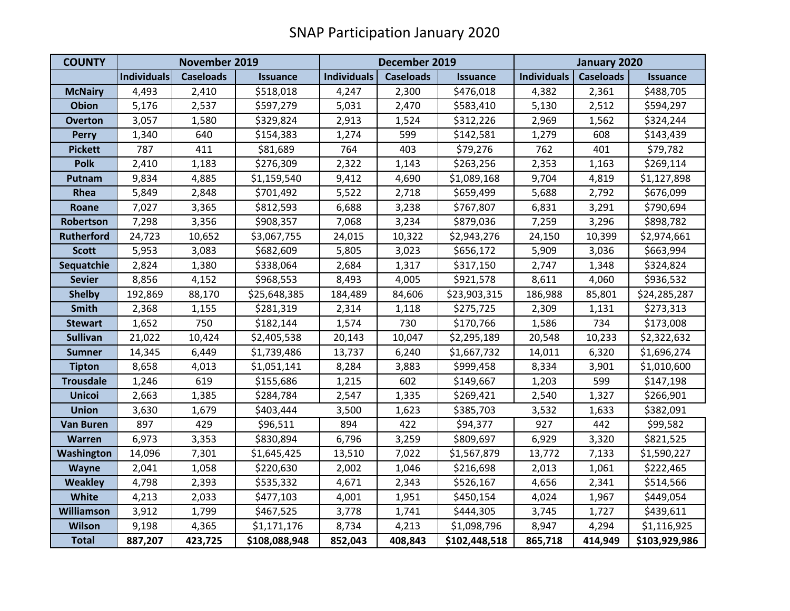| <b>COUNTY</b>     | November 2019      |                  |                 | December 2019      |                  |                 | January 2020       |                  |                 |
|-------------------|--------------------|------------------|-----------------|--------------------|------------------|-----------------|--------------------|------------------|-----------------|
|                   | <b>Individuals</b> | <b>Caseloads</b> | <b>Issuance</b> | <b>Individuals</b> | <b>Caseloads</b> | <b>Issuance</b> | <b>Individuals</b> | <b>Caseloads</b> | <b>Issuance</b> |
| <b>McNairy</b>    | 4,493              | 2,410            | \$518,018       | 4,247              | 2,300            | \$476,018       | 4,382              | 2,361            | \$488,705       |
| Obion             | 5,176              | 2,537            | \$597,279       | 5,031              | 2,470            | \$583,410       | 5,130              | 2,512            | \$594,297       |
| <b>Overton</b>    | 3,057              | 1,580            | \$329,824       | 2,913              | 1,524            | \$312,226       | 2,969              | 1,562            | \$324,244       |
| <b>Perry</b>      | 1,340              | 640              | \$154,383       | 1,274              | 599              | \$142,581       | 1,279              | 608              | \$143,439       |
| <b>Pickett</b>    | 787                | 411              | \$81,689        | 764                | 403              | \$79,276        | 762                | 401              | \$79,782        |
| <b>Polk</b>       | 2,410              | 1,183            | \$276,309       | 2,322              | 1,143            | \$263,256       | 2,353              | 1,163            | \$269,114       |
| Putnam            | 9,834              | 4,885            | \$1,159,540     | 9,412              | 4,690            | \$1,089,168     | 9,704              | 4,819            | \$1,127,898     |
| Rhea              | 5,849              | 2,848            | \$701,492       | 5,522              | 2,718            | \$659,499       | 5,688              | 2,792            | \$676,099       |
| Roane             | 7,027              | 3,365            | \$812,593       | 6,688              | 3,238            | \$767,807       | 6,831              | 3,291            | \$790,694       |
| Robertson         | 7,298              | 3,356            | \$908,357       | 7,068              | 3,234            | \$879,036       | 7,259              | 3,296            | \$898,782       |
| <b>Rutherford</b> | 24,723             | 10,652           | \$3,067,755     | 24,015             | 10,322           | \$2,943,276     | 24,150             | 10,399           | \$2,974,661     |
| <b>Scott</b>      | 5,953              | 3,083            | \$682,609       | 5,805              | 3,023            | \$656,172       | 5,909              | 3,036            | \$663,994       |
| Sequatchie        | 2,824              | 1,380            | \$338,064       | 2,684              | 1,317            | \$317,150       | 2,747              | 1,348            | \$324,824       |
| <b>Sevier</b>     | 8,856              | 4,152            | \$968,553       | 8,493              | 4,005            | \$921,578       | 8,611              | 4,060            | \$936,532       |
| <b>Shelby</b>     | 192,869            | 88,170           | \$25,648,385    | 184,489            | 84,606           | \$23,903,315    | 186,988            | 85,801           | \$24,285,287    |
| <b>Smith</b>      | 2,368              | 1,155            | \$281,319       | 2,314              | 1,118            | \$275,725       | 2,309              | 1,131            | \$273,313       |
| <b>Stewart</b>    | 1,652              | 750              | \$182,144       | 1,574              | 730              | \$170,766       | 1,586              | 734              | \$173,008       |
| <b>Sullivan</b>   | 21,022             | 10,424           | \$2,405,538     | 20,143             | 10,047           | \$2,295,189     | 20,548             | 10,233           | \$2,322,632     |
| <b>Sumner</b>     | 14,345             | 6,449            | \$1,739,486     | 13,737             | 6,240            | \$1,667,732     | 14,011             | 6,320            | \$1,696,274     |
| <b>Tipton</b>     | 8,658              | 4,013            | \$1,051,141     | 8,284              | 3,883            | \$999,458       | 8,334              | 3,901            | \$1,010,600     |
| <b>Trousdale</b>  | 1,246              | 619              | \$155,686       | 1,215              | 602              | \$149,667       | 1,203              | 599              | \$147,198       |
| <b>Unicoi</b>     | 2,663              | 1,385            | \$284,784       | 2,547              | 1,335            | \$269,421       | 2,540              | 1,327            | \$266,901       |
| <b>Union</b>      | 3,630              | 1,679            | \$403,444       | 3,500              | 1,623            | \$385,703       | 3,532              | 1,633            | \$382,091       |
| <b>Van Buren</b>  | 897                | 429              | \$96,511        | 894                | 422              | \$94,377        | 927                | 442              | \$99,582        |
| <b>Warren</b>     | 6,973              | 3,353            | \$830,894       | 6,796              | 3,259            | \$809,697       | 6,929              | 3,320            | \$821,525       |
| Washington        | 14,096             | 7,301            | \$1,645,425     | 13,510             | 7,022            | \$1,567,879     | 13,772             | 7,133            | \$1,590,227     |
| <b>Wayne</b>      | 2,041              | 1,058            | \$220,630       | 2,002              | 1,046            | \$216,698       | 2,013              | 1,061            | \$222,465       |
| Weakley           | 4,798              | 2,393            | \$535,332       | 4,671              | 2,343            | \$526,167       | 4,656              | 2,341            | \$514,566       |
| White             | 4,213              | 2,033            | \$477,103       | 4,001              | 1,951            | \$450,154       | 4,024              | 1,967            | \$449,054       |
| Williamson        | 3,912              | 1,799            | \$467,525       | 3,778              | 1,741            | \$444,305       | 3,745              | 1,727            | \$439,611       |
| Wilson            | 9,198              | 4,365            | \$1,171,176     | 8,734              | 4,213            | \$1,098,796     | 8,947              | 4,294            | \$1,116,925     |
| <b>Total</b>      | 887,207            | 423,725          | \$108,088,948   | 852,043            | 408,843          | \$102,448,518   | 865,718            | 414,949          | \$103,929,986   |